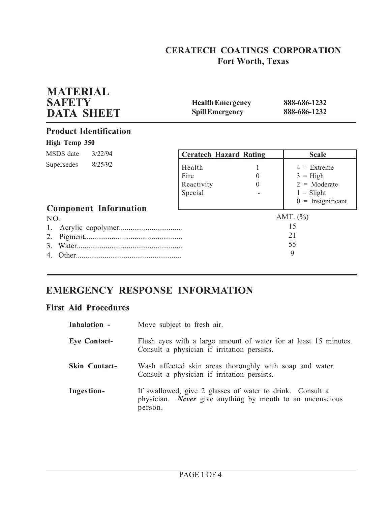# **CERATECH COATINGS CORPORATION Fort Worth, Texas**

| <b>MATERIAL</b><br><b>SAFETY</b><br><b>DATA SHEET</b> | <b>Health Emergency</b><br><b>Spill Emergency</b> |                      | 888-686-1232<br>888-686-1232                                                                |  |
|-------------------------------------------------------|---------------------------------------------------|----------------------|---------------------------------------------------------------------------------------------|--|
| <b>Product Identification</b>                         |                                                   |                      |                                                                                             |  |
| High Temp 350                                         |                                                   |                      |                                                                                             |  |
| MSDS date<br>3/22/94                                  | <b>Ceratech Hazard Rating</b>                     |                      | <b>Scale</b>                                                                                |  |
| 8/25/92<br>Supersedes<br><b>Component Information</b> | Health<br>Fire<br>Reactivity<br>Special           | $\theta$<br>$\theta$ | $4 =$ Extreme<br>$3 = High$<br>$2 = \text{Moderate}$<br>$1 =$ Slight<br>$0 =$ Insignificant |  |
| NO.<br>2.<br>$\mathcal{E}$<br>4                       |                                                   |                      | AMT. $(\% )$<br>15<br>21<br>55<br>9                                                         |  |

# **EMERGENCY RESPONSE INFORMATION**

## **First Aid Procedures**

| Inhalation -         | Move subject to fresh air.                                                                                                               |
|----------------------|------------------------------------------------------------------------------------------------------------------------------------------|
| <b>Eye Contact-</b>  | Flush eyes with a large amount of water for at least 15 minutes.<br>Consult a physician if irritation persists.                          |
| <b>Skin Contact-</b> | Wash affected skin areas thoroughly with soap and water.<br>Consult a physician if irritation persists.                                  |
| Ingestion-           | If swallowed, give 2 glasses of water to drink. Consult a<br>physician. <i>Never</i> give anything by mouth to an unconscious<br>person. |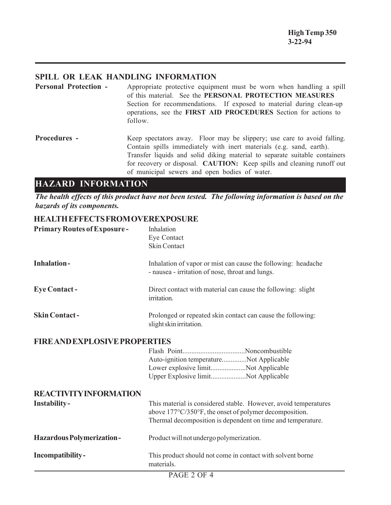## **SPILL OR LEAK HANDLING INFORMATION**

**Personal Protection -** Appropriate protective equipment must be worn when handling a spill of this material. See the **PERSONAL PROTECTION MEASURES** Section for recommendations. If exposed to material during clean-up operations, see the **FIRST AID PROCEDURES** Section for actions to follow.

**Procedures -** Keep spectators away. Floor may be slippery; use care to avoid falling. Contain spills immediately with inert materials (e.g. sand, earth). Transfer liquids and solid diking material to separate suitable containers for recovery or disposal. **CAUTION:** Keep spills and cleaning runoff out of municipal sewers and open bodies of water.

## **HAZARD INFORMATION HAZARD INFORMATION**

*The health effects of this product have not been tested. The following information is based on the hazards of its components.*

## **HEALTH EFFECTS FROM OVEREXPOSURE**

| <b>Primary Routes of Exposure-</b>   | Inhalation<br>Eye Contact                                                                                                                                                                |
|--------------------------------------|------------------------------------------------------------------------------------------------------------------------------------------------------------------------------------------|
|                                      | <b>Skin Contact</b>                                                                                                                                                                      |
| <b>Inhalation-</b>                   | Inhalation of vapor or mist can cause the following: headache<br>- nausea - irritation of nose, throat and lungs.                                                                        |
| <b>Eye Contact -</b>                 | Direct contact with material can cause the following: slight<br>irritation.                                                                                                              |
| <b>Skin Contact-</b>                 | Prolonged or repeated skin contact can cause the following:<br>slight skin irritation.                                                                                                   |
| <b>FIRE AND EXPLOSIVE PROPERTIES</b> |                                                                                                                                                                                          |
|                                      | Auto-ignition temperatureNot Applicable                                                                                                                                                  |
|                                      | Lower explosive limitNot Applicable<br>Upper Explosive limitNot Applicable                                                                                                               |
| <b>REACTIVITY INFORMATION</b>        |                                                                                                                                                                                          |
| Instability-                         | This material is considered stable. However, avoid temperatures<br>above 177°C/350°F, the onset of polymer decomposition.<br>Thermal decomposition is dependent on time and temperature. |
| <b>Hazardous Polymerization-</b>     | Product will not undergo polymerization.                                                                                                                                                 |
| Incompatibility-                     | This product should not come in contact with solvent borne<br>materials.                                                                                                                 |
|                                      | PAGE 2 OF 4                                                                                                                                                                              |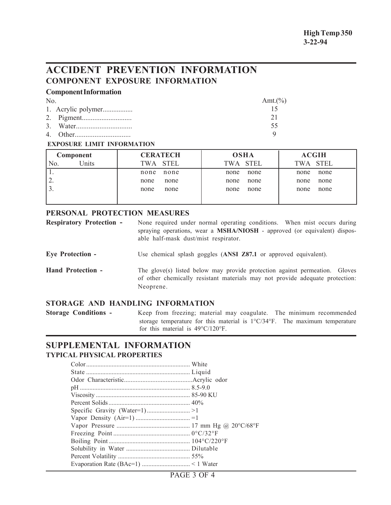# **ACCIDENT PREVENTION INFORMATION COMPONENT EXPOSURE INFORMATION**

### **Component Information**

| No | Amt. $(\%)$ |
|----|-------------|
|    |             |
|    |             |
|    | 55          |
|    |             |

#### **EXPOSURE LIMIT INFORMATION**

| Component    | <b>CERATECH</b> | <b>OSHA</b> | <b>ACGIH</b> |
|--------------|-----------------|-------------|--------------|
| Units<br>N0. | TWA STEL        | TWA STEL    | TWA STEL     |
|              | none            | none        | none         |
|              | none            | none        | none         |
| ∠.           | none            | none        | none         |
|              | none            | none        | none         |
| J.           | none            | none        | none         |
|              | none            | none        | none         |
|              |                 |             |              |

#### **PERSONAL PROTECTION MEASURES**

| <b>Respiratory Protection -</b> | None required under normal operating conditions. When mist occurs during         |  |  |
|---------------------------------|----------------------------------------------------------------------------------|--|--|
|                                 | spraying operations, wear a <b>MSHA/NIOSH</b> - approved (or equivalent) dispos- |  |  |
|                                 | able half-mask dust/mist respirator.                                             |  |  |

**Eye Protection -** Use chemical splash goggles (**ANSI Z87.1** or approved equivalent).

**Hand Protection -** The glove(s) listed below may provide protection against permeation. Gloves of other chemically resistant materials may not provide adequate protection: Neoprene.

## **STORAGE AND HANDLING INFORMATION**

**Storage Conditions -** Keep from freezing; material may coagulate. The minimum recommended storage temperature for this material is 1°C/34°F. The maximum temperature for this material is 49°C/120°F.

### **SUPPLEMENTAL INFORMATION TYPICAL PHYSICAL PROPERTIES**